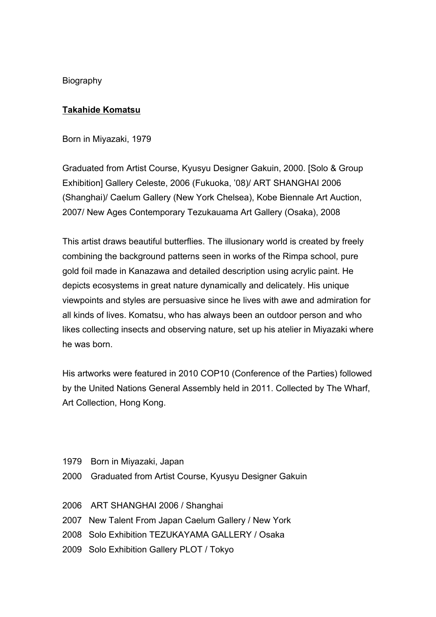Biography

## **Takahide Komatsu**

Born in Miyazaki, 1979

Graduated from Artist Course, Kyusyu Designer Gakuin, 2000. [Solo & Group Exhibition] Gallery Celeste, 2006 (Fukuoka, '08)/ ART SHANGHAI 2006 (Shanghai)/ Caelum Gallery (New York Chelsea), Kobe Biennale Art Auction, 2007/ New Ages Contemporary Tezukauama Art Gallery (Osaka), 2008

This artist draws beautiful butterflies. The illusionary world is created by freely combining the background patterns seen in works of the Rimpa school, pure gold foil made in Kanazawa and detailed description using acrylic paint. He depicts ecosystems in great nature dynamically and delicately. His unique viewpoints and styles are persuasive since he lives with awe and admiration for all kinds of lives. Komatsu, who has always been an outdoor person and who likes collecting insects and observing nature, set up his atelier in Miyazaki where he was born.

His artworks were featured in 2010 COP10 (Conference of the Parties) followed by the United Nations General Assembly held in 2011. Collected by The Wharf, Art Collection, Hong Kong.

- 1979 Born in Miyazaki, Japan
- 2000 Graduated from Artist Course, Kyusyu Designer Gakuin
- 2006 ART SHANGHAI 2006 / Shanghai
- 2007 New Talent From Japan Caelum Gallery / New York
- 2008 Solo Exhibition TEZUKAYAMA GALLERY / Osaka
- 2009 Solo Exhibition Gallery PLOT / Tokyo